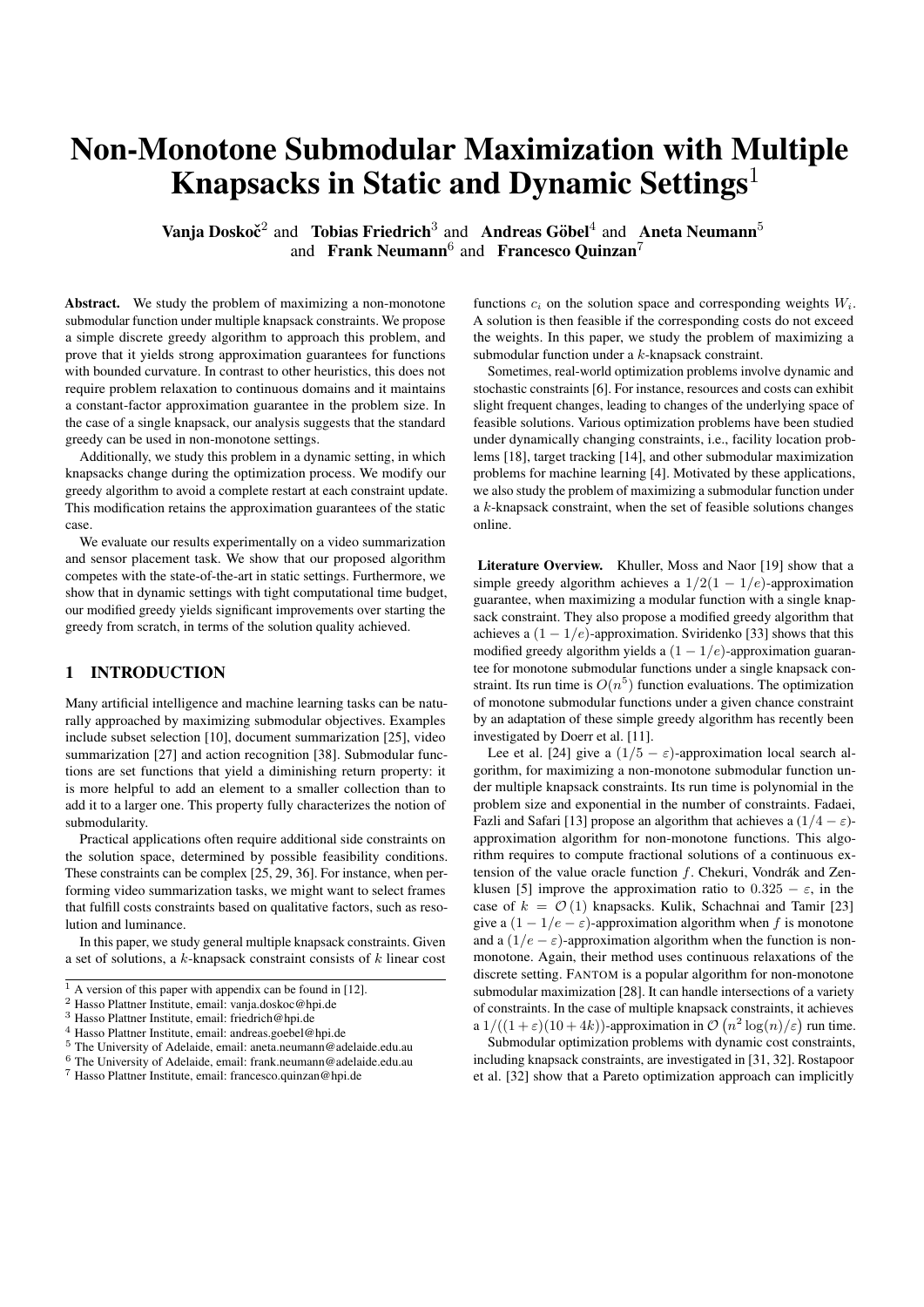# Non-Monotone Submodular Maximization with Multiple Knapsacks in Static and Dynamic Settings<sup>1</sup>

Vanja Doskoč<sup>2</sup> and Tobias Friedrich<sup>3</sup> and Andreas Göbel<sup>4</sup> and Aneta Neumann<sup>5</sup> and Frank Neumann<sup>6</sup> and Francesco Quinzan<sup>7</sup>

Abstract. We study the problem of maximizing a non-monotone submodular function under multiple knapsack constraints. We propose a simple discrete greedy algorithm to approach this problem, and prove that it yields strong approximation guarantees for functions with bounded curvature. In contrast to other heuristics, this does not require problem relaxation to continuous domains and it maintains a constant-factor approximation guarantee in the problem size. In the case of a single knapsack, our analysis suggests that the standard greedy can be used in non-monotone settings.

Additionally, we study this problem in a dynamic setting, in which knapsacks change during the optimization process. We modify our greedy algorithm to avoid a complete restart at each constraint update. This modification retains the approximation guarantees of the static case.

We evaluate our results experimentally on a video summarization and sensor placement task. We show that our proposed algorithm competes with the state-of-the-art in static settings. Furthermore, we show that in dynamic settings with tight computational time budget, our modified greedy yields significant improvements over starting the greedy from scratch, in terms of the solution quality achieved.

# 1 INTRODUCTION

Many artificial intelligence and machine learning tasks can be naturally approached by maximizing submodular objectives. Examples include subset selection [\[10\]](#page-7-0), document summarization [\[25\]](#page-7-1), video summarization [\[27\]](#page-7-2) and action recognition [\[38\]](#page-7-3). Submodular functions are set functions that yield a diminishing return property: it is more helpful to add an element to a smaller collection than to add it to a larger one. This property fully characterizes the notion of submodularity.

Practical applications often require additional side constraints on the solution space, determined by possible feasibility conditions. These constraints can be complex [\[25,](#page-7-1) [29,](#page-7-4) [36\]](#page-7-5). For instance, when performing video summarization tasks, we might want to select frames that fulfill costs constraints based on qualitative factors, such as resolution and luminance.

In this paper, we study general multiple knapsack constraints. Given a set of solutions, a k-knapsack constraint consists of k linear cost functions  $c_i$  on the solution space and corresponding weights  $W_i$ . A solution is then feasible if the corresponding costs do not exceed the weights. In this paper, we study the problem of maximizing a submodular function under a k-knapsack constraint.

Sometimes, real-world optimization problems involve dynamic and stochastic constraints [\[6\]](#page-7-7). For instance, resources and costs can exhibit slight frequent changes, leading to changes of the underlying space of feasible solutions. Various optimization problems have been studied under dynamically changing constraints, i.e., facility location problems [\[18\]](#page-7-8), target tracking [\[14\]](#page-7-9), and other submodular maximization problems for machine learning [\[4\]](#page-7-10). Motivated by these applications, we also study the problem of maximizing a submodular function under a k-knapsack constraint, when the set of feasible solutions changes online.

Literature Overview. Khuller, Moss and Naor [\[19\]](#page-7-11) show that a simple greedy algorithm achieves a  $1/2(1 - 1/e)$ -approximation guarantee, when maximizing a modular function with a single knapsack constraint. They also propose a modified greedy algorithm that achieves a  $(1 - 1/e)$ -approximation. Sviridenko [\[33\]](#page-7-12) shows that this modified greedy algorithm yields a  $(1 - 1/e)$ -approximation guarantee for monotone submodular functions under a single knapsack constraint. Its run time is  $O(n^5)$  function evaluations. The optimization of monotone submodular functions under a given chance constraint by an adaptation of these simple greedy algorithm has recently been investigated by Doerr et al. [\[11\]](#page-7-13).

Lee et al. [\[24\]](#page-7-14) give a  $(1/5 - \varepsilon)$ -approximation local search algorithm, for maximizing a non-monotone submodular function under multiple knapsack constraints. Its run time is polynomial in the problem size and exponential in the number of constraints. Fadaei, Fazli and Safari [\[13\]](#page-7-15) propose an algorithm that achieves a  $(1/4 - \varepsilon)$ approximation algorithm for non-monotone functions. This algorithm requires to compute fractional solutions of a continuous extension of the value oracle function  $f$ . Chekuri, Vondrák and Zen-klusen [\[5\]](#page-7-16) improve the approximation ratio to  $0.325 - \varepsilon$ , in the case of  $k = \mathcal{O}(1)$  knapsacks. Kulik, Schachnai and Tamir [\[23\]](#page-7-17) give a  $(1 - 1/e - \varepsilon)$ -approximation algorithm when f is monotone and a  $(1/e - \varepsilon)$ -approximation algorithm when the function is nonmonotone. Again, their method uses continuous relaxations of the discrete setting. FANTOM is a popular algorithm for non-monotone submodular maximization [\[28\]](#page-7-18). It can handle intersections of a variety of constraints. In the case of multiple knapsack constraints, it achieves a  $1/((1+\varepsilon)(10+4k))$ -approximation in  $\mathcal{O}(n^2 \log(n)/\varepsilon)$  run time.

Submodular optimization problems with dynamic cost constraints, including knapsack constraints, are investigated in [\[31,](#page-7-19) [32\]](#page-7-20). Rostapoor et al. [\[32\]](#page-7-20) show that a Pareto optimization approach can implicitly

 $1$  A version of this paper with appendix can be found in [\[12\]](#page-7-6).

<sup>2</sup> Hasso Plattner Institute, email: vanja.doskoc@hpi.de

<sup>3</sup> Hasso Plattner Institute, email: friedrich@hpi.de

<sup>4</sup> Hasso Plattner Institute, email: andreas.goebel@hpi.de

 $5$  The University of Adelaide, email: aneta.neumann@adelaide.edu.au

<sup>6</sup> The University of Adelaide, email: frank.neumann@adelaide.edu.au <sup>7</sup> Hasso Plattner Institute, email: francesco.quinzan@hpi.de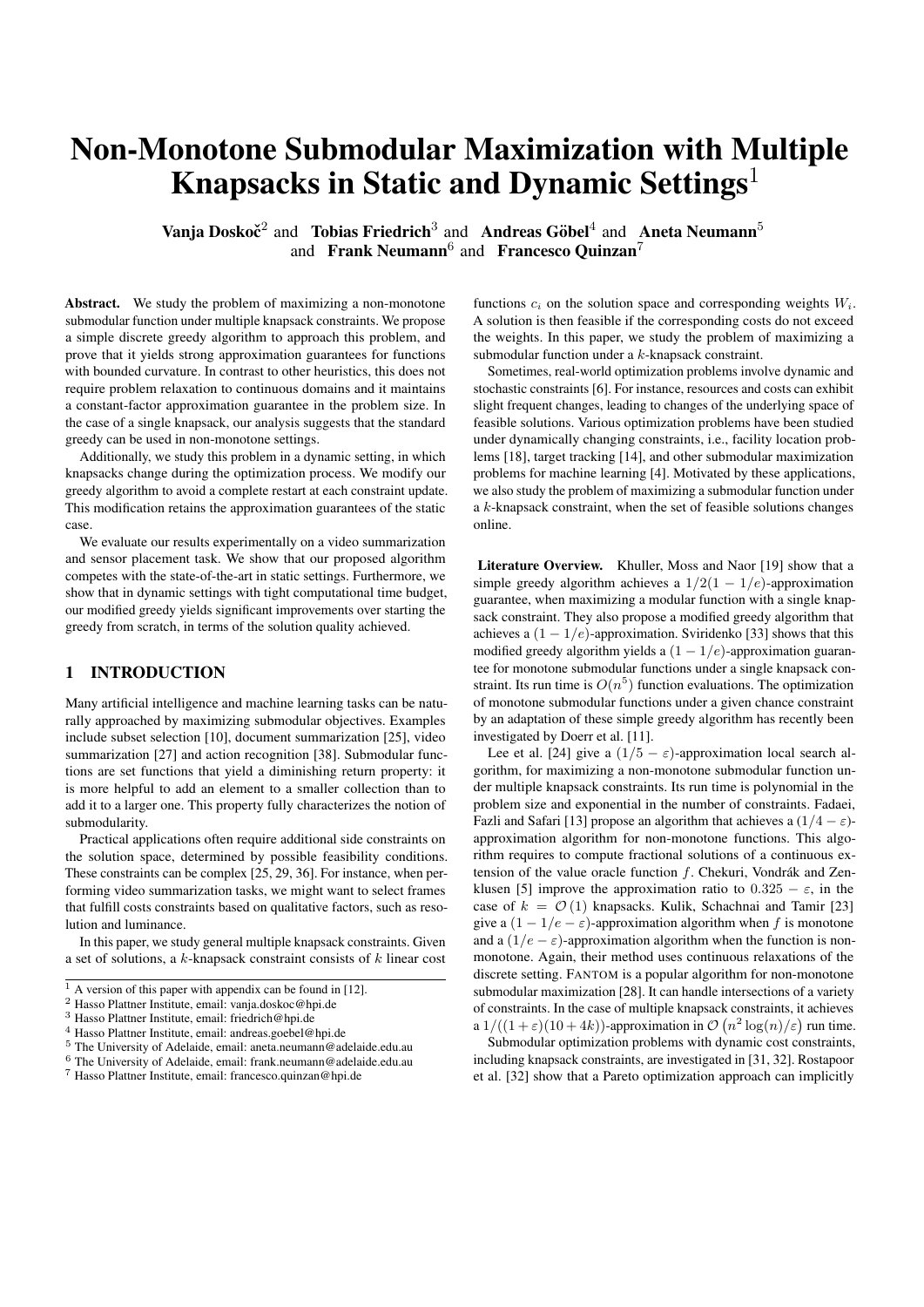deal with dynamically changing constraint bounds, whereas a simple adaptive greedy algorithm fails.

Our Contribution. Many of the aforementioned algorithmic results, despite having polynomial run time, seem impractical for large input applications. Following the analysis outlined in [\[8,](#page-7-21) [16,](#page-7-22) [19\]](#page-7-11), we propose a simple and practical discrete algorithm to maximize a submodular function under multiple knapsack constraints. This algorithm, which we call the  $\lambda$ -GREEDY, achieves a  $(1-e^{-1/\lambda})/(3 \max(1,\alpha))$ approximation guarantee on this problem, with  $\alpha$  expressing the curvature of f, and  $\lambda \in [1, k]$  a constant. It requires at most  $\mathcal{O}(n^{\max(k/\lambda,2)})$  function evaluations. To our knowledge this is the first algorithm yielding a trade-off between run-time and approximation ratio.

We also propose a robust variation of our  $\lambda$ -GREEDY, which we call  $\lambda$ -DGREEDY, to handle dynamic changes in the feasibility region of the solution space. We show that this algorithm maintains a  $(1 - e^{-1/\lambda})/(3 \max(1, \alpha))$ -approximation without having to do a complete restart of the greedy sequence.

We demonstrate experimentally that our algorithms yield good performance in practise, with two real-world scenarios. First, we consider a video summarization task, which consists of selecting representative frames of a given video [\[29,](#page-7-4) [28\]](#page-7-18). We also consider a sensor placement problem, that asks to select informative thermal stations over a large territory [\[20\]](#page-7-23).

Our experiments indicate that the  $\lambda$ -GREEDY yields superior performance to commonly used algorithms for the static video summarization problem. We then perform experiments in dynamic settings with both scenarios, to show that the robust variation yields significant improvement in practise.

The paper is structured as follows. In Section [2](#page-1-0) we introduce basic definitions and define the problem. In Section [3](#page-2-0) we define the algorithms. We present the theoretical analysis in Section [4,](#page-3-0) and the experimental framework in Section [5.](#page-3-1) The experimental results are discussed in Section [6](#page-3-2) and Section [7.](#page-4-0) We conclude in Section [8.](#page-6-0)

# <span id="page-1-0"></span>2 PRELIMINARIES

Submodularity and Curvature In this paper, we consider problems with an *oracle function* that outputs the quality of given solution. We measure performance in terms of calls to this function, since in many practical applications they are difficult to evaluate. We assume that value oracle functions are submodular, as in the following definition.

Definition 1 (Submodularity) *Given a finite set* V *, a set function*  $f: 2^V \to \mathbb{R}$  *is submodular if for all*  $S, \Omega \subseteq V$  *we have that*  $f(S)$  +  $f(\Omega) \ge f(S \cup \Omega) + f(S \cap \Omega).$ 

For the equivalent intuitive definition described informally in the introduction see [\[30\]](#page-7-24).

For any submodular function  $f: 2^V \to \mathbb{R}$  and sets  $S, \Omega \subseteq V$ , we define the *marginal value* of  $\Omega$  with respect to S as  $f_S(\Omega) =$  $f(S \cup \Omega) - f(S)$ . Note that, if f only attains non-negative values, it holds that  $f(\Omega) \ge f_S(\Omega)$  for all  $S, \Omega \subseteq V$ .

Our approximation guarantees use the notion of *curvature*, a parameter that bounds the maximum rate with which a submodular function changes. We say that a submodular function  $f: 2^V \to \mathbb{R}$  0 has curvature  $\alpha$  if the value  $f(S \cup e) - f(S)$  does not change by a factor larger than  $1 - \alpha$  when varying S, for all  $e \in V \setminus S$ . This parameter was first introduced by [\[8\]](#page-7-21) and later revisited in [\[3\]](#page-7-25). We use

the following definition of curvature, which slightly generalizes that proposed in Friedrich et al. [\[16\]](#page-7-22).

**Definition 2 (Curvature)** *Let*  $f: 2^V \to \mathbb{R}$  *et* a submodular set *function. The curvature is the smallest scalar* α *such that*

<span id="page-1-6"></span>
$$
f_{\omega}((S \cup \Omega) \setminus {\{\omega\}}) \ge (1 - \alpha) f_{\omega}(S \setminus {\{\omega\}}),
$$

*for all*  $S, \Omega \subseteq V$  *and*  $\omega \in S \setminus \Omega$ *.* 

Note that  $\alpha \leq 1$  always holds and that all monotone submodular functions have curvature always bounded as  $0 \leq \alpha \leq 1$ . It follows that all submodular functions with negative curvature are non-monotone.

<span id="page-1-4"></span>Problem Description The problem of maximizing a submodular function under multiple knapsack constraints can be formalized as follows.

**Problem 3** *Let*  $f: 2^V \to \mathbb{R}$  <sup>0</sup> *be a submodular function.*<sup>[8](#page-1-1)</sup> *Consider linear cost functions*  $c_i : 2^V \rightarrow \mathbb{R}$   $_0$ , <sup>[9](#page-1-2)</sup> and corresponding weights W<sub>i</sub>, for all  $i \in [k]$ . We search for a set OPT  $\subseteq V$ , such that OPT  $\in$ arg max<sub>S</sub>  $_V \{f(S): c_i(S) \leq W_i, \forall i \in [k]\}.$ 

In this setting, one has  $k$  knapsacks and wishes to find an optimal set of items such that its total cost, expressed by the functions  $c_i$ , does not violate the capacity of each knapsack. Note that the same set might have different costs for different knapsacks.

We denote with  $(c, W)$  the constraint requirements  $c_i(S) \leq W_i$ for all  $S \subseteq V$ , for all  $i \in [k]$ . For a ground set V with a fixed ordering on the points and a cost function  $c_i$ , where  $i \in [k]$ , let  $\tau_i$  be a permutation on V where  $c_i(e_{\tau_i(1)}) \geq \cdots \geq c_i(e_{\tau_i(n)})$ . We define the value  $\chi(c, W)$  as

$$
\chi(c, W) = \min_{i \geq [k]} \operatorname*{arg\,max}_{j \geq [jV]}\left\{\sum_{\ell=1}^j c_i(e_{\tau_i(\ell)}) \leq W_i\right\}.
$$

Note that the value  $\chi(c, W)$  is such that each set  $U \subseteq V$  with cardinality  $|U| \leq \chi(c, W)$  is feasible for all constraints in  $(c, W)$ .<sup>[10](#page-1-3)</sup>

We observe that in the case of a single knapsack, if  $c_1(S) = |S|$ for all  $S \subseteq V$ , then Problem [3](#page-1-4) consists of maximizing a submodular function under a cardinality constraint, which is known to be NP-hard. In our analysis we always assume that the following reduction holds.

<span id="page-1-5"></span>Reduction 4 *For Problem [3](#page-1-4) we may assume that there exists a point*  $e \in V$  *such that*  $f(S \cup e) = f(S)$  *for all*  $S \subseteq V$ *, and*  $c_i(e) = W_i$ *for all*  $i \in [k]$ *. Furthermore, we may assume that*  $c_i(e) \leq W_i$  *for all*  $e \in V$ *, for all*  $i \in [m]$ *.* 

If the conditions of Reduction [4](#page-1-5) do not hold, one can remove all points  $e \in V$  that violate one of the constraints and add a point e without altering the function  $f$ . Intuitively, Reduction [4](#page-1-5) requires that each singleton, except for one, is feasible for all knapsack constraints. This ensures that  $\arg \max_{e \geq V} f(e)$  is always feasible in all constraints, since  $f(e) = 0$ , and the optimum solution consists of at least one point. Furthermore, the point  $e \in V$  ensures that the solution quality never decreases throughout a greedy optimization process, until a non-feasible solution is reached.

<span id="page-1-1"></span><sup>&</sup>lt;sup>8</sup> We assume that  $f(\emptyset) = 0$ , and that f is non-constant.

<span id="page-1-2"></span><sup>&</sup>lt;sup>9</sup> We assume that  $\max_j c_j(e) > 0$  for all  $e \in V$ .

<span id="page-1-3"></span><sup>&</sup>lt;sup>10</sup> We remark that for our purposes, the value  $(c, W)$  could be defined directly as the value where each set  $U \subseteq V$  with cardinality  $|U| \leq (c; W)$ is feasible under the constraints in  $(c; \overline{W})$ . However, this value is in general NP-hard to compute [\[7,](#page-7-26) [35\]](#page-7-27).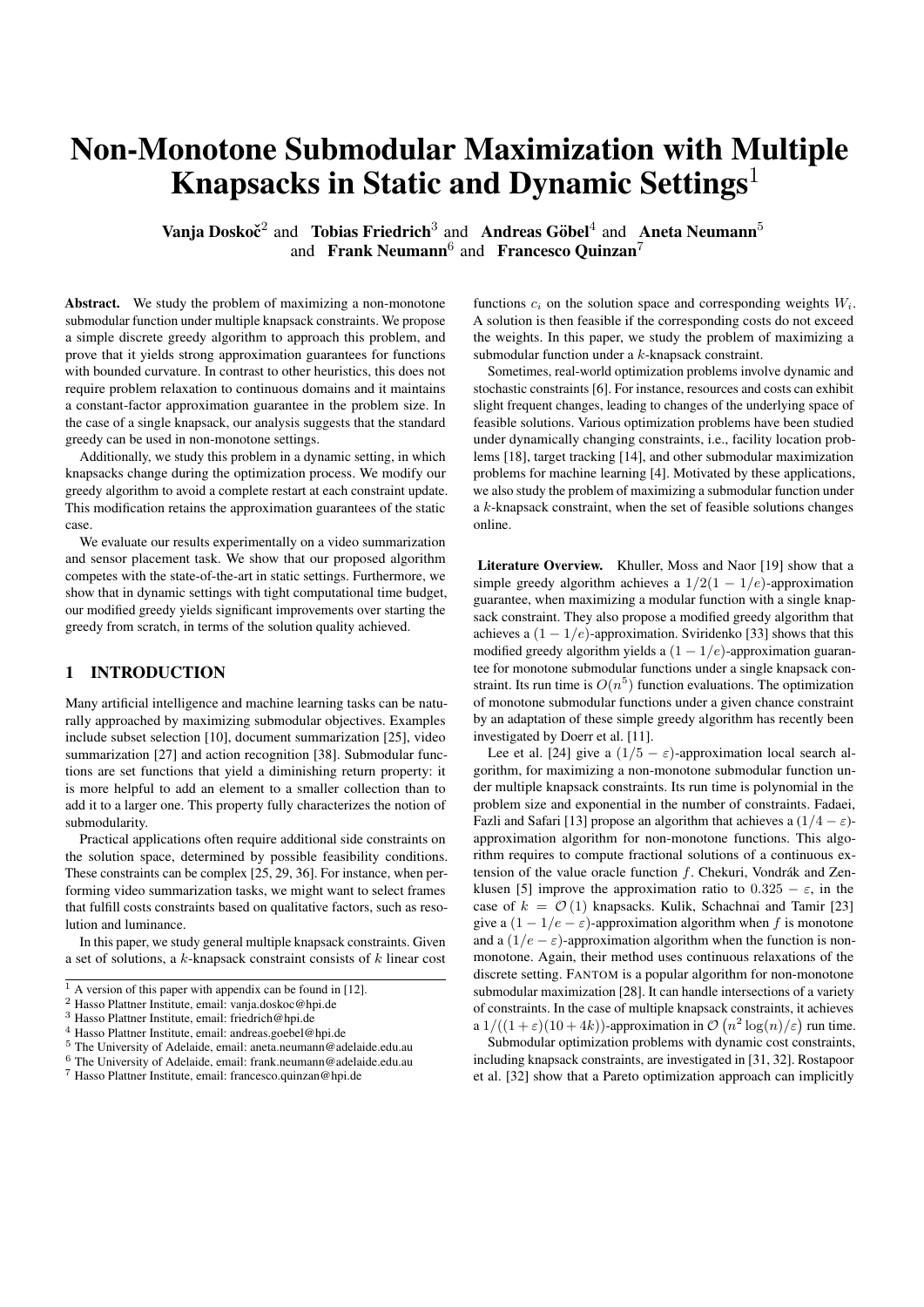Algorithm 1: The  $\lambda$ -GREEDY algorithm.

<span id="page-2-1"></span>**input**: submodular function  $f$ ,  $k$ -knapsacks  $(c, W)$  and parameter  $\lambda$ ; **output:** an approximate feasible global maximum of  $f$ ;  $\mathcal{V} \leftarrow \{e \in V : c_j(e) \leq \lambda W_j / k \ \forall j \in [k]\};$  $S \leftarrow \mathcal{V}$ ;  $\sigma \leftarrow \emptyset;$  $v \leftarrow \arg \max_{e \geq V} f(e);$ while  $S \neq \emptyset$  do let  $e \in S$  maximizing  $f_{\sigma}(e) / \max_i c_i(e)$ ;  $S \leftarrow S \setminus e;$ if  $c_j(\sigma \cup e) \leq W_j, \forall j \in [k]$  then  $\sigma \leftarrow \sigma \cup e$ ; **return** arg max<sub>fU</sub>  $V_{n}V: c_i(U)$   $W_i$   $s_{iq}$  { $f(\sigma)$ ,  $f(v)$ ,  $f(U)$ };

# **Algorithm 2:** The  $\lambda$ -DGREEDY algorithm.

<span id="page-2-2"></span>**input**: submodular function  $f$ ,  $k$ -knapsacks  $(c, W)$  with dynamic weights and parameter  $\lambda$ ; **output:** an approximate feasible global maximum of  $f$ ; evaluate f over all sets of cardinality at most  $k/\lambda$ ;  $\mathcal{V} \leftarrow \{e \in V : c_j(e) \leq \lambda W_j / k \ \forall j \in [k] \};$  $S \leftarrow \mathcal{V}$ ;  $\sigma \leftarrow \emptyset;$  $v \leftarrow \arg \max_{e \geq V} f(e);$ while  $S \neq \emptyset$  do // greedy rule let  $e \in S$  maximizing  $f_{\sigma}(e)/\max_j c_j(e)$ ;  $S \leftarrow S \setminus e;$ if  $c_i(\sigma \cup e) \leq W_i, \forall i \in [k]$  then  $\sigma \leftarrow \sigma \cup v$ ; // update rule if *new weights*  $\{W_i^\theta\}$  *are given* then  $\mathcal{V}^{\emptyset} \leftarrow \{e \in V \colon c_j(e) \leq \lambda W_j^{\emptyset}/k \ \forall j \in [k]\};$ while  $|\sigma|>\min\{\chi(c,W),\chi(c,W^{\theta})\}\vee\sigma\not\subseteq\mathcal{V}\cap\mathcal{V}^{\theta}$ do let  $e \in \sigma$  be the last point added to  $\sigma$ ;  $\sigma \leftarrow \sigma \setminus e;$  $\mathcal{V} \leftarrow \mathcal{V}^{\scriptscriptstyle\theta};$  $S \leftarrow \mathcal{V} \setminus \sigma$ ; **return** arg max $_{fU}$   $_{VnV: c_i(U)}$   $_{W}$   $_{Sig}$ { $f(\sigma)$ ,  $f(v)$ ,  $f(U)$ };

Additionally, we study a dynamic setting of Problem [3,](#page-1-4) in which weights  $W_i$  are repeatedly updated throughout the optimization process, while the corresponding cost functions  $c_i$  remain unchanged. In this setting, we assume that an algorithm queries a function to retrieve the weights  $W_i$  which are, sometimes, updated online. We assume that weights changes occur independently of the optimization process and algorithmic operations. Furthermore, we assume that Reduction [4](#page-1-5) holds for each dynamic update.

# <span id="page-2-0"></span>3 ALGORITHMS

We approach Problem [3](#page-1-4) with a discrete algorithm based on a greedy technique, commonly used to maximize a submodular function under a single knapsack constraint (see [\[19,](#page-7-11) [37\]](#page-7-28)). Given the parameter value  $\lambda \in [k]$ , our algorithm defines the following partition of the objective space:

• the set V containing all  $e \in V$  such that  $c_j \leq \lambda W_j/k$  for all

 $j \in [k];$ 

• the complement  $V \setminus V$  containing all  $e \in V$  such that  $c_i(e) >$  $\lambda W_j/k$  for all  $j \in [k]$ .

The  $\lambda$ -GREEDY optimizes f over the set V, with a greedy update that depends on all cost functions  $c_j$ . After finding a greedy approximate solution  $\sigma$ , the  $\lambda$ -GREEDY finds the optimum  $\tau$  among feasible subsets of  $V \setminus V$ . This step can be performed with a deterministic search over all possible solutions, since the space  $V \setminus \mathcal{V}$  always has bounded size. The  $\lambda$ -GREEDY outputs the set with highest f-value among  $\sigma$ ,  $\tau$ or the maximum among the singletons.

From the statement of Theorem [5](#page-3-3) we observe that the parameter  $\lambda$  sets a trade-off between solution quality and run time. For small λ, Algorithm [1](#page-2-1) yields better approximation guarantee and worse run time, than for large  $\lambda$ . This is due to the fact that the size of  $V \setminus V$ depends on this parameter. In practise, the parameter  $\lambda$  allows to find the right trade-off between solution quality and run time, depending on available resources. Note that in the case of a single knapsack constraint, for  $\lambda = k$  the  $\lambda$ -GREEDY is equivalent to the greedy algorithm studied in [\[19\]](#page-7-11).

We modify the  $\lambda$ -GREEDY to handle dynamic constraints where weights change overtime. This algorithm, which we refer to as the  $\lambda$ -DGREEDY, is presented in Algorithm [2.](#page-2-2) It consists of two subroutines, which we call the *greedy rule* and the *update rule*. The greedy rule of the  $\lambda$ -DGREEDY uses the same greedy update as the  $\lambda$ -GREEDY does: At each step, find a point  $v \in V$  that maximizes the marginal gain over maximum cost, and add  $v$  to the current solution, if the resulting set is feasible in all knapsacks. The update rule allows to handle possible changes to the weights, even when the greedy procedure has not terminated, without having to completely restart the algorithm.

Following the notation of Algorithm [2,](#page-2-2) if new weights  $W_1^{\theta}, \ldots, W_k^{\theta}$ are given, then the  $\lambda$ -DGREEDY iteratively removes points from the current solution, until the resulting set yields  $\sigma \leq$  $\min\{\chi(c, W), \chi(c, W^{\beta})\}\$ and  $\sigma \subseteq \mathcal{V} \cap \mathcal{V}^{\beta}$ . This is motivated by the following facts:

- 1. every set  $U \le \min{\{\chi(c, W), \chi(c, W^{\theta})\}}$  is feasible in both the old and the new constraints;
- 2. every set  $U \le \min{\{\chi(c,W), \chi(c,W^{\theta})\}}$  such that  $U \subseteq \mathcal{V} \cap \mathcal{V}^{\theta}$ obtained with a greedy procedure yields the same approximation guarantee in both constraints;
- 3. every set  $U \subseteq V \cap V^{\theta}$  is such that  $c_i(e) \leq \lambda W_i^{\theta}/k$  for all  $i \in k$ , for all  $e \in U$ .

All three conditions are necessary to ensure that the approximation guarantee is maintained.

Note that the update rule in Algorithm [2](#page-2-2) does not backtrack the execution of the algorithm until the resulting solution is feasible in the new constraint, and then adds elements to the current solution. For instance, consider the following example, due to Roostapour et al. [\[32\]](#page-7-20). We are given a set of  $n + 1$  items  $\{e_1, \ldots, e_{n+1}\}\$  under a single knapsack  $(c, W)$ , with the cost function c defined as

$$
c(e_i) = \begin{cases} 1, & \text{if } 1 \le i \le n/2 \text{ or } i = n+1; \\ 2, & \text{otherwise}; \end{cases}
$$

and f-values defined on the singleton as

$$
f(e_i) = \begin{cases} 1/n, & \text{if } 1 \le i \le n/2; \\ 1, & \text{if } n/2 < i \le n; \\ 3, & \text{if } i = n+1; \end{cases}
$$

We define  $f(U) = \sum_{e \geq U} f(e)$ , for all  $U \subseteq \{e_1, \ldots, e_{n+1}\}.$  Con-sider Algorithm [2](#page-2-2) optimizing f from scratch with  $W = 2$ . We only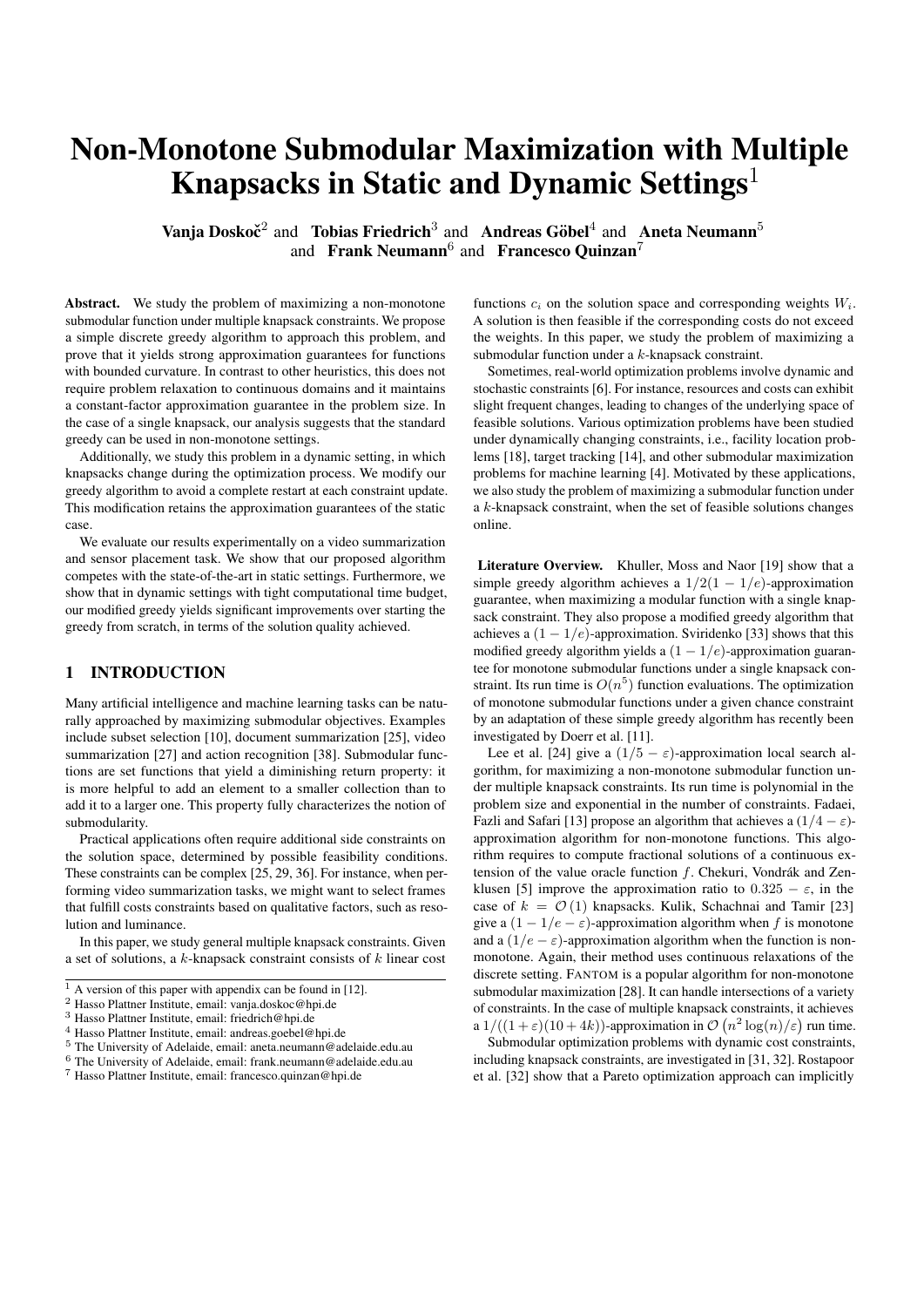consider the case  $\lambda = 1$ , since we only consider a single knap-sack constraint. Then both Algorithm [2](#page-2-2) and the  $\lambda$ -GREEDY return a set of the form  $\{e_{n+1}, e_j\}$  with  $1 \leq j \leq n/2$ . Suppose now that the weight dynamically changes to  $W = 3$ . Then backtracking the execution and adding points to the current solution would result into a solution of the form  $\{e_{n+1}, e_i, e_j\}$  with  $1 \leq i, j \leq n/2$ with  $f({e_{n+1}, e_i, e_j}) = 3 + 2/n$ . However, in this case it holds  $\min\{\chi(c, 2), \chi(c, 3)\} = 1$ , since there exists a solution of cardinality 2 that is not feasible in  $(c, 2)$  $(c, 2)$  $(c, 2)$ . Hence, Algorithm 2 removes the point  $e_i$  from the solution  $\{e_{n+1}, e_i\}$ , before adding new elements to it. Afterwards, it adds a point  $e_{j'}$  with  $n/2 < j^0 \le n$  to it, obtaining a solution such that  $f({e_{n+1}, e_{j'}}) = 3 + 1 = 4.$ 

We remark that on this instance, the  $\lambda$ -GREEDY with a simple backtracking operator yields arbitrarily bad approximation guarantee, as discussed in [\[32,](#page-7-20) Theroem 3]. In contrast, Algorithm [2](#page-2-2) maintains the approximation guarantee on this instance (see Theorem [6\)](#page-3-4).

# <span id="page-3-0"></span>4 APPROXIMATION GUARANTEES

We prove that Algorithm [1](#page-2-1) yields a strong approximation guarantee, when maximizing a submodular function under  $k$  knapsack constraints in the static case. This part of the analysis does not consider dynamic weight updates. We use the notion of curvature as in Definition [2.](#page-1-6)

**Theorem 5** Let f be a submodular function with curvature  $\alpha$ , sup*pose that* k *knapsacks are given. For all*  $\lambda \in [1, k]$ *, the*  $\lambda$ -GREEDY *is a*  $(1 - e^{-1/\lambda})/(3 \max(1, \alpha))$ *-approximation algorithm for Prob-lem [3.](#page-1-4) Its run time is*  $\mathcal{O}\left(n^{\max(k/\lambda,2)}\right)$ .

A proof of this result is given in the full version [\[12\]](#page-7-6), and it is based on the work of Khuller et al. [\[19\]](#page-7-11). Note that if the function  $f$  is monotone, then the approximation guarantee given in Theorem [5](#page-3-3) matches wellknown results [\[19\]](#page-7-11). We remark that non-monotone functions with bounded curvature are not uncommon in practise. For instance, all cut functions of directed graphs are non-monotone, submodular and have curvature  $\alpha \leq 2$ , as discussed in [\[16\]](#page-7-22).

We perform the run time analysis for the  $\lambda$ -GREEDY in dynamic settings, in which weights  $\{W_i\}_i$  change over time.

Theorem 6 *Consider Algorithm [2](#page-2-2) optimizing a submodular function with curvature*  $\alpha > 0$  *and knapsack constraints*  $(c, W)$ *. Suppose* that at some point during the optimization process new weights  $W_i^\ell$ *are given. Let* σ *be the current solution before the weights update, and let*  $\sigma_t \subseteq \sigma$  *consist of the first t points added to*  $\sigma$ *. Furthermore, let*  $t$  *, be the largest index such that*  $\sigma_{t^*} \subseteq \mathcal{V} \cap \mathcal{V}^{\emptyset}$  *, with*  $\mathcal{V}, \mathcal{V}^{\emptyset}$ *as in Algorithm [2,](#page-2-2) and define*  $\chi = \min \{ \chi(c, W), \chi(c, W^{\theta}), t \}$ . *Then after additional*  $\mathcal{O}(n(n - \chi))$  *run time the*  $\lambda$ -GREEDY *finds a*  $(1-e^{-1/\lambda})/(3\max(1,\alpha))$ -approximate optimal solution in the new *constraints, for a fixed parameter*  $\lambda \in [1, k]$ *.* 

A proof of this result is given in the full version [\[12\]](#page-7-6). Intuitively, the proof shows that, given two sets of feasible solutions  $V, V^{\theta}$ , the  $\lambda$ -GREEDY follows the same paths on both problem instances, for all solutions with size up to  $\chi$ . Note that Theorem [5](#page-3-3) yields the same theoretical approximation guarantee as Theorem [6.](#page-3-4) Hence, if dynamic updates occur at a slow pace, it is possible to obtain identical results by restarting  $\lambda$ -GREEDY every time a constraint update occurs. However, as we show in Section [7,](#page-4-0) there is significant advantage in using the  $\lambda$ -DGREEDY in settings when frequent noisy constraints updates occur.

#### <span id="page-3-1"></span>5 APPLICATIONS

In this section we present a high-level overview of two possible applications for Problem [3.](#page-1-4) We describe experimental frameworks and implementations for these applications in Sections [6-](#page-3-2)[7.](#page-4-0)

Video Summarization. Determinantal Point Process (DPP), [\[26\]](#page-7-29), is a probabilistic model, the probability distribution function of which can be characterized as the determinant of a matrix. More formally, consider a sample space  $V = [n]$ , and let L be a positive semidefinite matrix. We say that  $L$  defines a DPP on  $V$ , if the probability of an event  $S \subseteq V$  is given by

$$
\mathcal{P}_L(S) = \frac{\det(L_S)}{\det(L + I)},
$$

where  $L_S = (L_{i,j})_{i,j \geq S}$  is the submatrix of L indexed by the elements in  $S$ , and  $I$  is the  $n \times n$  identity matrix. For a survey on DPPs and their applications see [\[22\]](#page-7-30).

We model this framework with a matrix  $L$  that describes similarities between pairs of frames. Intuitively, if  $L$  describes the similarity between two frames, then the DPP prefers diversity.

<span id="page-3-3"></span>In this setting, we search for a set of features  $S \subseteq V$  such that  $P(S)$ is maximal, among sets of feasible solutions defined in terms of a knapsack constraint. Since  $L$  is positive semidefinite, the function  $log \det L_S$  is submodular [\[22\]](#page-7-30).

Sensor Placement. The maximum entropy sampling problem consists of choosing the most informative subset of random variables subject to side constraints. In this work, we study the problem of finding the most informative set among given Gaussian time series.

Given a sample covariance matrix  $\Sigma$  of the time series corresponding to measurements, the entropy of a subset of sensors is then given by the formula

$$
f(S) = \frac{1 + \ln(2\pi)}{2} |S| + \frac{1}{2} \ln \det(\Sigma_S)
$$

<span id="page-3-4"></span>for any indexing set  $S \subseteq \{0,1\}^n$  on the variation series, where  $\det(\Sigma_S)$  returns the determinant of the sub-matrix of  $\Sigma$  indexed by S. It is well-known that the function  $f$  is non-monotone and submodular. Its curvature is bounded as  $\alpha \leq 1 - 1/\mu$ , where  $\mu$  is the largest eigenvalue of  $\Sigma$  [\[34,](#page-7-31) [20,](#page-7-23) [16\]](#page-7-22).

We consider the problem of maximizing the entropy f under a *partition matroid constraint*. This additional side constraint requires upper-bounds on the number of sensors that can be chosen in given geographical areas.

# <span id="page-3-2"></span>6 STATIC EXPERIMENTS

The aim of these experiments is to show that the  $\lambda$ -GREEDY yields better performance in comparison with FANTOM [\[27\]](#page-7-2), which is a popular algorithm for non-monotone submodular objectives under complex sets of constraints. We consider video summarization tasks as in Section [5.](#page-3-1)

Let  $L$  be the matrix describing similarities between pairs of frames, as in Section [5.](#page-3-1) Following [\[17\]](#page-7-32), we parametrize  $L$  as follows. Given a set of frames, let  $f_i$  be the feature vector of the *i*-th frame. This vector encodes the contextual information about frame  $i$  and its representativeness of other items. Then the matrix  $L$  can be paramterized as  $L_{i,j} = \mathbf{z}_i^T W^T W \mathbf{z}_j$ , with  $\mathbf{z}_i = \tanh(U \mathbf{f}_i)$  being a hidden representation of  $f_i$ , and  $U, W$  parameters. We use a single-layer neural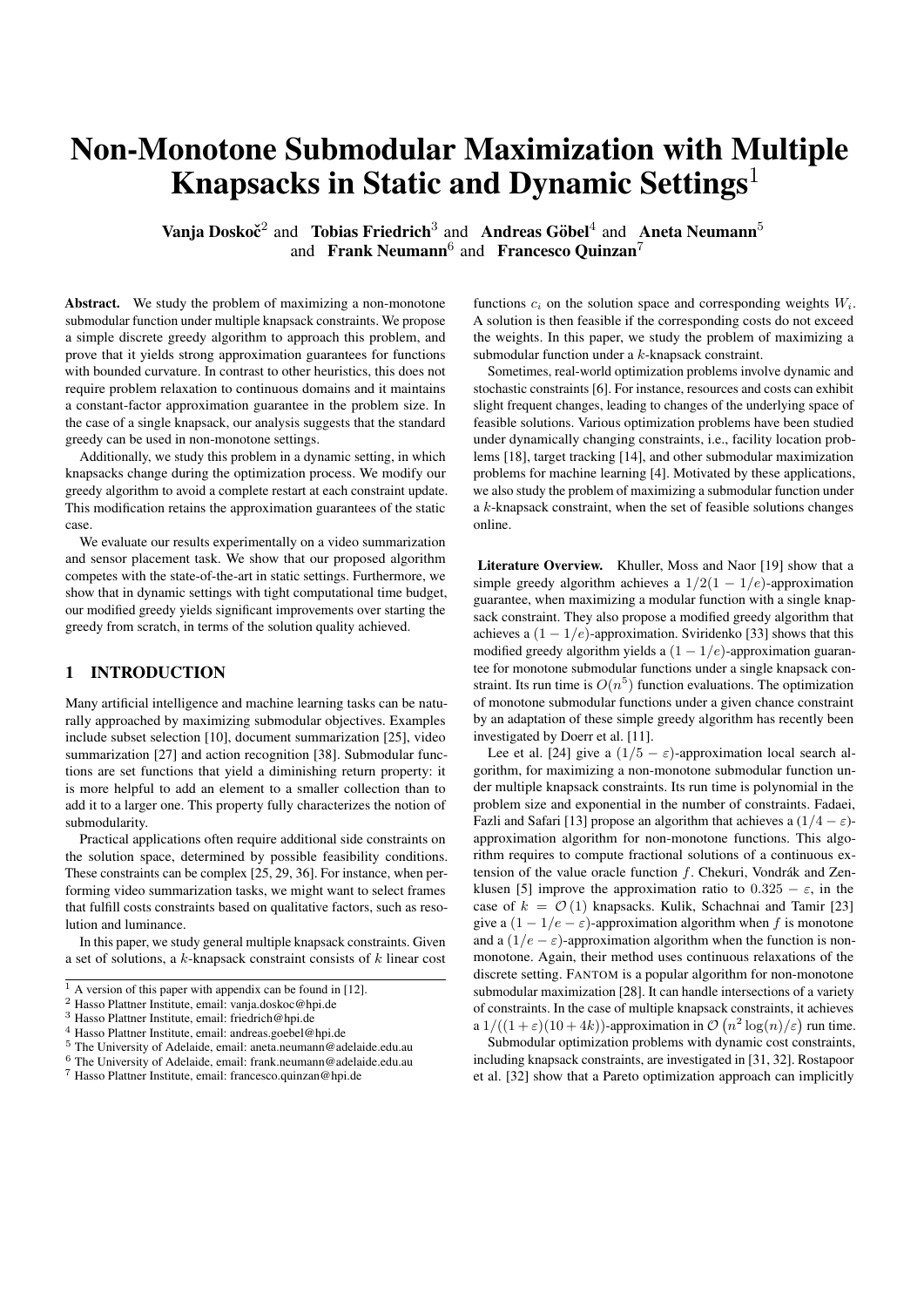<span id="page-4-1"></span>Table 1. We consider 20 movies from the Frames Labeled In Cinema dataset [\[15\]](#page-7-33). For each movie, we select a representative set of frames, by maximizing a submodular function under additional knapsack constraints, as described in Section [6.](#page-3-2) We run the -GREEDY and the FANTOM algorithm [\[27\]](#page-7-2) with various parameter choices, until no remaining point in the search space yields improvement on the fitness value, without violating side constraints. We observe that in all cases the -GREEDY yields better run time and solution quality than the FANTOM.

run time for each video clip

| 2986719<br>3368901<br>3442329<br>3082814<br>FANTOM<br>$\varepsilon=0.001$<br>4085317<br>3529230<br>3813637<br><b>FANTOM</b><br>$\varepsilon=0.01$<br>406960<br>351321<br>382342<br>299444<br>336670<br>344619<br>307726<br>FANTOM<br>41008<br>34309<br>37232<br>29249<br>33343<br>33146<br>30235<br>$\varepsilon = 0.1$<br>2709<br>2895<br>2895<br>2895<br>2895<br>2709<br>2522<br>$\lambda$ -Greedy<br>$\lambda = k$<br>video $(8)$<br>video $(9)$<br>video $(10)$<br>video $(11)$<br>video $(12)$<br>video $(13)$<br>video $(14)$<br>algorithm<br>parameter<br>FANTOM<br>$\varepsilon=0.001$<br>3171467<br>3781141<br>3121379<br>3673776<br>3603787<br>3055122<br>4119203<br>307399<br>412247<br>FANTOM<br>$\varepsilon = 0.01$<br>320738<br>379420<br>313975<br>368617<br>360265<br>FANTOM<br>30605<br>36608<br>30809<br>36242<br>35682<br>30223<br>40543<br>$\varepsilon = 0.1$<br>2709<br>3080<br>2895<br>2895<br>3080<br>2709<br>3080<br>$\lambda$ -Greedy<br>$\lambda = k$<br>video $(19)$<br>video $(15)$<br>video $(16)$<br>video $(17)$<br>video $(18)$<br>video $(20)$<br>algorithm<br>parameter<br>3555884<br>3431653<br>FANTOM<br>$\varepsilon = 0.001$<br>3727241<br>3321987<br>3429387<br>3375296<br>$\varepsilon=0.01$<br>374322<br>330994<br>345333<br>354694<br>336718<br>343419<br>FANTOM<br>36073<br>34741<br>32370<br>FANTOM<br>$\varepsilon = 0.1$<br>32377<br>33357<br>32187<br>2709<br>2895<br>2895<br>2895<br>2895<br>2709<br>$\lambda$ -Greedy<br>$\lambda = k$<br>solution quality for each video clip<br>video $(2)$<br>video $(4)$<br>video $(7)$<br>algorithm<br>video $(1)$<br>video $(3)$<br>video $(5)$<br>video $(6)$<br>parameter<br>9.4999<br>19.3818<br>15.6143<br>15.4285<br>10.6228<br>13.2393<br>14.0438<br>FANTOM<br>$\varepsilon = 0.001$<br>9.4999<br>19.3818<br>15.6143<br>15.4285<br>10.6228<br>13.2393<br>12.9851<br>FANTOM<br>$\varepsilon = 0.01$<br>16.9083<br>9.1811<br>13.2393<br>12.9851<br>9.4999<br>FANTOM<br>$\varepsilon = 0.1$<br>13.9868<br>13.9942<br>15.0203<br>15.5678<br>$\lambda$ -Greedy<br>$\lambda = k$<br>23.9323<br>21.8122<br>22.5406<br>19.4932<br>18.6267<br>algorithm<br>video(8)<br>video $(9)$<br>video $(10)$<br>video $(11)$<br>video $(12)$<br>video $(13)$<br>video $(14)$<br>parameter<br>15.9894<br>15.5939<br>12.5897<br>18.7495<br>FANTOM<br>11.0898<br>16.2864<br>10.7798<br>$\varepsilon = 0.001$<br>FANTOM<br>11.0898<br>16.2864<br>10.7798<br>15.9894<br>15.5939<br>12.5897<br>18.7495<br>$\varepsilon = 0.01$<br>FANTOM<br>$\varepsilon = 0.1$<br>9.5612<br>16.2864<br>10.7798<br>14.4139<br>14.1122<br>9.5909<br>17.3095<br>$\lambda$ -Greedy<br>18.5727<br>23.9619<br>17.6612<br>23.2229<br>20.8876<br>18.1164<br>25.1342<br>$\lambda = k$<br>video $(20)$<br>video $(15)$<br>video $(16)$<br>video $(17)$<br>video $(18)$<br>video $(19)$<br>algorithm<br>parameter<br>16.3391<br>13.6084<br>16.9964<br>13.0314<br>13.0558<br><b>FANTOM</b><br>$\varepsilon=0.001$<br>11.8452<br>16.3391<br>11.8452<br>16.9964<br>13.0314<br>13.0558<br>FANTOM<br>$\varepsilon = 0.01$<br>13.6084<br>14.7544<br>11.8452<br>14.0999<br>11.5619<br>11.5385<br>FANTOM<br>$\varepsilon = 0.1$<br>12.0878<br>23.8740<br>19.4916<br>22.2884<br>19.0673<br>$\lambda$ -Greedy<br>19.9461<br>18.6588<br>$\lambda = k$ | algorithm | parameter | video $(1)$ | video $(2)$ | video $(3)$ | video $(4)$ | video $(5)$ | video $(6)$ | video $(7)$ |
|----------------------------------------------------------------------------------------------------------------------------------------------------------------------------------------------------------------------------------------------------------------------------------------------------------------------------------------------------------------------------------------------------------------------------------------------------------------------------------------------------------------------------------------------------------------------------------------------------------------------------------------------------------------------------------------------------------------------------------------------------------------------------------------------------------------------------------------------------------------------------------------------------------------------------------------------------------------------------------------------------------------------------------------------------------------------------------------------------------------------------------------------------------------------------------------------------------------------------------------------------------------------------------------------------------------------------------------------------------------------------------------------------------------------------------------------------------------------------------------------------------------------------------------------------------------------------------------------------------------------------------------------------------------------------------------------------------------------------------------------------------------------------------------------------------------------------------------------------------------------------------------------------------------------------------------------------------------------------------------------------------------------------------------------------------------------------------------------------------------------------------------------------------------------------------------------------------------------------------------------------------------------------------------------------------------------------------------------------------------------------------------------------------------------------------------------------------------------------------------------------------------------------------------------------------------------------------------------------------------------------------------------------------------------------------------------------------------------------------------------------------------------------------------------------------------------------------------------------------------------------------------------------------------------------------------------------------------------------------------------------------------------------------------------------------------------------------------------------------------------------------------------------------------------------------------------------------------------------------------------------------------------------------------|-----------|-----------|-------------|-------------|-------------|-------------|-------------|-------------|-------------|
|                                                                                                                                                                                                                                                                                                                                                                                                                                                                                                                                                                                                                                                                                                                                                                                                                                                                                                                                                                                                                                                                                                                                                                                                                                                                                                                                                                                                                                                                                                                                                                                                                                                                                                                                                                                                                                                                                                                                                                                                                                                                                                                                                                                                                                                                                                                                                                                                                                                                                                                                                                                                                                                                                                                                                                                                                                                                                                                                                                                                                                                                                                                                                                                                                                                                                        |           |           |             |             |             |             |             |             |             |
|                                                                                                                                                                                                                                                                                                                                                                                                                                                                                                                                                                                                                                                                                                                                                                                                                                                                                                                                                                                                                                                                                                                                                                                                                                                                                                                                                                                                                                                                                                                                                                                                                                                                                                                                                                                                                                                                                                                                                                                                                                                                                                                                                                                                                                                                                                                                                                                                                                                                                                                                                                                                                                                                                                                                                                                                                                                                                                                                                                                                                                                                                                                                                                                                                                                                                        |           |           |             |             |             |             |             |             |             |
|                                                                                                                                                                                                                                                                                                                                                                                                                                                                                                                                                                                                                                                                                                                                                                                                                                                                                                                                                                                                                                                                                                                                                                                                                                                                                                                                                                                                                                                                                                                                                                                                                                                                                                                                                                                                                                                                                                                                                                                                                                                                                                                                                                                                                                                                                                                                                                                                                                                                                                                                                                                                                                                                                                                                                                                                                                                                                                                                                                                                                                                                                                                                                                                                                                                                                        |           |           |             |             |             |             |             |             |             |
|                                                                                                                                                                                                                                                                                                                                                                                                                                                                                                                                                                                                                                                                                                                                                                                                                                                                                                                                                                                                                                                                                                                                                                                                                                                                                                                                                                                                                                                                                                                                                                                                                                                                                                                                                                                                                                                                                                                                                                                                                                                                                                                                                                                                                                                                                                                                                                                                                                                                                                                                                                                                                                                                                                                                                                                                                                                                                                                                                                                                                                                                                                                                                                                                                                                                                        |           |           |             |             |             |             |             |             |             |
|                                                                                                                                                                                                                                                                                                                                                                                                                                                                                                                                                                                                                                                                                                                                                                                                                                                                                                                                                                                                                                                                                                                                                                                                                                                                                                                                                                                                                                                                                                                                                                                                                                                                                                                                                                                                                                                                                                                                                                                                                                                                                                                                                                                                                                                                                                                                                                                                                                                                                                                                                                                                                                                                                                                                                                                                                                                                                                                                                                                                                                                                                                                                                                                                                                                                                        |           |           |             |             |             |             |             |             |             |
|                                                                                                                                                                                                                                                                                                                                                                                                                                                                                                                                                                                                                                                                                                                                                                                                                                                                                                                                                                                                                                                                                                                                                                                                                                                                                                                                                                                                                                                                                                                                                                                                                                                                                                                                                                                                                                                                                                                                                                                                                                                                                                                                                                                                                                                                                                                                                                                                                                                                                                                                                                                                                                                                                                                                                                                                                                                                                                                                                                                                                                                                                                                                                                                                                                                                                        |           |           |             |             |             |             |             |             |             |
|                                                                                                                                                                                                                                                                                                                                                                                                                                                                                                                                                                                                                                                                                                                                                                                                                                                                                                                                                                                                                                                                                                                                                                                                                                                                                                                                                                                                                                                                                                                                                                                                                                                                                                                                                                                                                                                                                                                                                                                                                                                                                                                                                                                                                                                                                                                                                                                                                                                                                                                                                                                                                                                                                                                                                                                                                                                                                                                                                                                                                                                                                                                                                                                                                                                                                        |           |           |             |             |             |             |             |             |             |
|                                                                                                                                                                                                                                                                                                                                                                                                                                                                                                                                                                                                                                                                                                                                                                                                                                                                                                                                                                                                                                                                                                                                                                                                                                                                                                                                                                                                                                                                                                                                                                                                                                                                                                                                                                                                                                                                                                                                                                                                                                                                                                                                                                                                                                                                                                                                                                                                                                                                                                                                                                                                                                                                                                                                                                                                                                                                                                                                                                                                                                                                                                                                                                                                                                                                                        |           |           |             |             |             |             |             |             |             |
|                                                                                                                                                                                                                                                                                                                                                                                                                                                                                                                                                                                                                                                                                                                                                                                                                                                                                                                                                                                                                                                                                                                                                                                                                                                                                                                                                                                                                                                                                                                                                                                                                                                                                                                                                                                                                                                                                                                                                                                                                                                                                                                                                                                                                                                                                                                                                                                                                                                                                                                                                                                                                                                                                                                                                                                                                                                                                                                                                                                                                                                                                                                                                                                                                                                                                        |           |           |             |             |             |             |             |             |             |
|                                                                                                                                                                                                                                                                                                                                                                                                                                                                                                                                                                                                                                                                                                                                                                                                                                                                                                                                                                                                                                                                                                                                                                                                                                                                                                                                                                                                                                                                                                                                                                                                                                                                                                                                                                                                                                                                                                                                                                                                                                                                                                                                                                                                                                                                                                                                                                                                                                                                                                                                                                                                                                                                                                                                                                                                                                                                                                                                                                                                                                                                                                                                                                                                                                                                                        |           |           |             |             |             |             |             |             |             |
|                                                                                                                                                                                                                                                                                                                                                                                                                                                                                                                                                                                                                                                                                                                                                                                                                                                                                                                                                                                                                                                                                                                                                                                                                                                                                                                                                                                                                                                                                                                                                                                                                                                                                                                                                                                                                                                                                                                                                                                                                                                                                                                                                                                                                                                                                                                                                                                                                                                                                                                                                                                                                                                                                                                                                                                                                                                                                                                                                                                                                                                                                                                                                                                                                                                                                        |           |           |             |             |             |             |             |             |             |
|                                                                                                                                                                                                                                                                                                                                                                                                                                                                                                                                                                                                                                                                                                                                                                                                                                                                                                                                                                                                                                                                                                                                                                                                                                                                                                                                                                                                                                                                                                                                                                                                                                                                                                                                                                                                                                                                                                                                                                                                                                                                                                                                                                                                                                                                                                                                                                                                                                                                                                                                                                                                                                                                                                                                                                                                                                                                                                                                                                                                                                                                                                                                                                                                                                                                                        |           |           |             |             |             |             |             |             |             |
|                                                                                                                                                                                                                                                                                                                                                                                                                                                                                                                                                                                                                                                                                                                                                                                                                                                                                                                                                                                                                                                                                                                                                                                                                                                                                                                                                                                                                                                                                                                                                                                                                                                                                                                                                                                                                                                                                                                                                                                                                                                                                                                                                                                                                                                                                                                                                                                                                                                                                                                                                                                                                                                                                                                                                                                                                                                                                                                                                                                                                                                                                                                                                                                                                                                                                        |           |           |             |             |             |             |             |             |             |
|                                                                                                                                                                                                                                                                                                                                                                                                                                                                                                                                                                                                                                                                                                                                                                                                                                                                                                                                                                                                                                                                                                                                                                                                                                                                                                                                                                                                                                                                                                                                                                                                                                                                                                                                                                                                                                                                                                                                                                                                                                                                                                                                                                                                                                                                                                                                                                                                                                                                                                                                                                                                                                                                                                                                                                                                                                                                                                                                                                                                                                                                                                                                                                                                                                                                                        |           |           |             |             |             |             |             |             |             |
|                                                                                                                                                                                                                                                                                                                                                                                                                                                                                                                                                                                                                                                                                                                                                                                                                                                                                                                                                                                                                                                                                                                                                                                                                                                                                                                                                                                                                                                                                                                                                                                                                                                                                                                                                                                                                                                                                                                                                                                                                                                                                                                                                                                                                                                                                                                                                                                                                                                                                                                                                                                                                                                                                                                                                                                                                                                                                                                                                                                                                                                                                                                                                                                                                                                                                        |           |           |             |             |             |             |             |             |             |
|                                                                                                                                                                                                                                                                                                                                                                                                                                                                                                                                                                                                                                                                                                                                                                                                                                                                                                                                                                                                                                                                                                                                                                                                                                                                                                                                                                                                                                                                                                                                                                                                                                                                                                                                                                                                                                                                                                                                                                                                                                                                                                                                                                                                                                                                                                                                                                                                                                                                                                                                                                                                                                                                                                                                                                                                                                                                                                                                                                                                                                                                                                                                                                                                                                                                                        |           |           |             |             |             |             |             |             |             |
|                                                                                                                                                                                                                                                                                                                                                                                                                                                                                                                                                                                                                                                                                                                                                                                                                                                                                                                                                                                                                                                                                                                                                                                                                                                                                                                                                                                                                                                                                                                                                                                                                                                                                                                                                                                                                                                                                                                                                                                                                                                                                                                                                                                                                                                                                                                                                                                                                                                                                                                                                                                                                                                                                                                                                                                                                                                                                                                                                                                                                                                                                                                                                                                                                                                                                        |           |           |             |             |             |             |             |             |             |
|                                                                                                                                                                                                                                                                                                                                                                                                                                                                                                                                                                                                                                                                                                                                                                                                                                                                                                                                                                                                                                                                                                                                                                                                                                                                                                                                                                                                                                                                                                                                                                                                                                                                                                                                                                                                                                                                                                                                                                                                                                                                                                                                                                                                                                                                                                                                                                                                                                                                                                                                                                                                                                                                                                                                                                                                                                                                                                                                                                                                                                                                                                                                                                                                                                                                                        |           |           |             |             |             |             |             |             |             |
|                                                                                                                                                                                                                                                                                                                                                                                                                                                                                                                                                                                                                                                                                                                                                                                                                                                                                                                                                                                                                                                                                                                                                                                                                                                                                                                                                                                                                                                                                                                                                                                                                                                                                                                                                                                                                                                                                                                                                                                                                                                                                                                                                                                                                                                                                                                                                                                                                                                                                                                                                                                                                                                                                                                                                                                                                                                                                                                                                                                                                                                                                                                                                                                                                                                                                        |           |           |             |             |             |             |             |             |             |
|                                                                                                                                                                                                                                                                                                                                                                                                                                                                                                                                                                                                                                                                                                                                                                                                                                                                                                                                                                                                                                                                                                                                                                                                                                                                                                                                                                                                                                                                                                                                                                                                                                                                                                                                                                                                                                                                                                                                                                                                                                                                                                                                                                                                                                                                                                                                                                                                                                                                                                                                                                                                                                                                                                                                                                                                                                                                                                                                                                                                                                                                                                                                                                                                                                                                                        |           |           |             |             |             |             |             |             |             |
|                                                                                                                                                                                                                                                                                                                                                                                                                                                                                                                                                                                                                                                                                                                                                                                                                                                                                                                                                                                                                                                                                                                                                                                                                                                                                                                                                                                                                                                                                                                                                                                                                                                                                                                                                                                                                                                                                                                                                                                                                                                                                                                                                                                                                                                                                                                                                                                                                                                                                                                                                                                                                                                                                                                                                                                                                                                                                                                                                                                                                                                                                                                                                                                                                                                                                        |           |           |             |             |             |             |             |             |             |
|                                                                                                                                                                                                                                                                                                                                                                                                                                                                                                                                                                                                                                                                                                                                                                                                                                                                                                                                                                                                                                                                                                                                                                                                                                                                                                                                                                                                                                                                                                                                                                                                                                                                                                                                                                                                                                                                                                                                                                                                                                                                                                                                                                                                                                                                                                                                                                                                                                                                                                                                                                                                                                                                                                                                                                                                                                                                                                                                                                                                                                                                                                                                                                                                                                                                                        |           |           |             |             |             |             |             |             |             |
|                                                                                                                                                                                                                                                                                                                                                                                                                                                                                                                                                                                                                                                                                                                                                                                                                                                                                                                                                                                                                                                                                                                                                                                                                                                                                                                                                                                                                                                                                                                                                                                                                                                                                                                                                                                                                                                                                                                                                                                                                                                                                                                                                                                                                                                                                                                                                                                                                                                                                                                                                                                                                                                                                                                                                                                                                                                                                                                                                                                                                                                                                                                                                                                                                                                                                        |           |           |             |             |             |             |             |             |             |
|                                                                                                                                                                                                                                                                                                                                                                                                                                                                                                                                                                                                                                                                                                                                                                                                                                                                                                                                                                                                                                                                                                                                                                                                                                                                                                                                                                                                                                                                                                                                                                                                                                                                                                                                                                                                                                                                                                                                                                                                                                                                                                                                                                                                                                                                                                                                                                                                                                                                                                                                                                                                                                                                                                                                                                                                                                                                                                                                                                                                                                                                                                                                                                                                                                                                                        |           |           |             |             |             |             |             |             |             |
|                                                                                                                                                                                                                                                                                                                                                                                                                                                                                                                                                                                                                                                                                                                                                                                                                                                                                                                                                                                                                                                                                                                                                                                                                                                                                                                                                                                                                                                                                                                                                                                                                                                                                                                                                                                                                                                                                                                                                                                                                                                                                                                                                                                                                                                                                                                                                                                                                                                                                                                                                                                                                                                                                                                                                                                                                                                                                                                                                                                                                                                                                                                                                                                                                                                                                        |           |           |             |             |             |             |             |             |             |
|                                                                                                                                                                                                                                                                                                                                                                                                                                                                                                                                                                                                                                                                                                                                                                                                                                                                                                                                                                                                                                                                                                                                                                                                                                                                                                                                                                                                                                                                                                                                                                                                                                                                                                                                                                                                                                                                                                                                                                                                                                                                                                                                                                                                                                                                                                                                                                                                                                                                                                                                                                                                                                                                                                                                                                                                                                                                                                                                                                                                                                                                                                                                                                                                                                                                                        |           |           |             |             |             |             |             |             |             |
|                                                                                                                                                                                                                                                                                                                                                                                                                                                                                                                                                                                                                                                                                                                                                                                                                                                                                                                                                                                                                                                                                                                                                                                                                                                                                                                                                                                                                                                                                                                                                                                                                                                                                                                                                                                                                                                                                                                                                                                                                                                                                                                                                                                                                                                                                                                                                                                                                                                                                                                                                                                                                                                                                                                                                                                                                                                                                                                                                                                                                                                                                                                                                                                                                                                                                        |           |           |             |             |             |             |             |             |             |
|                                                                                                                                                                                                                                                                                                                                                                                                                                                                                                                                                                                                                                                                                                                                                                                                                                                                                                                                                                                                                                                                                                                                                                                                                                                                                                                                                                                                                                                                                                                                                                                                                                                                                                                                                                                                                                                                                                                                                                                                                                                                                                                                                                                                                                                                                                                                                                                                                                                                                                                                                                                                                                                                                                                                                                                                                                                                                                                                                                                                                                                                                                                                                                                                                                                                                        |           |           |             |             |             |             |             |             |             |
|                                                                                                                                                                                                                                                                                                                                                                                                                                                                                                                                                                                                                                                                                                                                                                                                                                                                                                                                                                                                                                                                                                                                                                                                                                                                                                                                                                                                                                                                                                                                                                                                                                                                                                                                                                                                                                                                                                                                                                                                                                                                                                                                                                                                                                                                                                                                                                                                                                                                                                                                                                                                                                                                                                                                                                                                                                                                                                                                                                                                                                                                                                                                                                                                                                                                                        |           |           |             |             |             |             |             |             |             |
|                                                                                                                                                                                                                                                                                                                                                                                                                                                                                                                                                                                                                                                                                                                                                                                                                                                                                                                                                                                                                                                                                                                                                                                                                                                                                                                                                                                                                                                                                                                                                                                                                                                                                                                                                                                                                                                                                                                                                                                                                                                                                                                                                                                                                                                                                                                                                                                                                                                                                                                                                                                                                                                                                                                                                                                                                                                                                                                                                                                                                                                                                                                                                                                                                                                                                        |           |           |             |             |             |             |             |             |             |
|                                                                                                                                                                                                                                                                                                                                                                                                                                                                                                                                                                                                                                                                                                                                                                                                                                                                                                                                                                                                                                                                                                                                                                                                                                                                                                                                                                                                                                                                                                                                                                                                                                                                                                                                                                                                                                                                                                                                                                                                                                                                                                                                                                                                                                                                                                                                                                                                                                                                                                                                                                                                                                                                                                                                                                                                                                                                                                                                                                                                                                                                                                                                                                                                                                                                                        |           |           |             |             |             |             |             |             |             |
|                                                                                                                                                                                                                                                                                                                                                                                                                                                                                                                                                                                                                                                                                                                                                                                                                                                                                                                                                                                                                                                                                                                                                                                                                                                                                                                                                                                                                                                                                                                                                                                                                                                                                                                                                                                                                                                                                                                                                                                                                                                                                                                                                                                                                                                                                                                                                                                                                                                                                                                                                                                                                                                                                                                                                                                                                                                                                                                                                                                                                                                                                                                                                                                                                                                                                        |           |           |             |             |             |             |             |             |             |
|                                                                                                                                                                                                                                                                                                                                                                                                                                                                                                                                                                                                                                                                                                                                                                                                                                                                                                                                                                                                                                                                                                                                                                                                                                                                                                                                                                                                                                                                                                                                                                                                                                                                                                                                                                                                                                                                                                                                                                                                                                                                                                                                                                                                                                                                                                                                                                                                                                                                                                                                                                                                                                                                                                                                                                                                                                                                                                                                                                                                                                                                                                                                                                                                                                                                                        |           |           |             |             |             |             |             |             |             |
|                                                                                                                                                                                                                                                                                                                                                                                                                                                                                                                                                                                                                                                                                                                                                                                                                                                                                                                                                                                                                                                                                                                                                                                                                                                                                                                                                                                                                                                                                                                                                                                                                                                                                                                                                                                                                                                                                                                                                                                                                                                                                                                                                                                                                                                                                                                                                                                                                                                                                                                                                                                                                                                                                                                                                                                                                                                                                                                                                                                                                                                                                                                                                                                                                                                                                        |           |           |             |             |             |             |             |             |             |
|                                                                                                                                                                                                                                                                                                                                                                                                                                                                                                                                                                                                                                                                                                                                                                                                                                                                                                                                                                                                                                                                                                                                                                                                                                                                                                                                                                                                                                                                                                                                                                                                                                                                                                                                                                                                                                                                                                                                                                                                                                                                                                                                                                                                                                                                                                                                                                                                                                                                                                                                                                                                                                                                                                                                                                                                                                                                                                                                                                                                                                                                                                                                                                                                                                                                                        |           |           |             |             |             |             |             |             |             |

network to train the parameters  $U, W$ . We consider 20 movies from the Frames Labeled In Cinema dataset [\[15\]](#page-7-33). Each movie has 200 frames and 7 generated ground summaries consisting of 15 frames each.

We select a representative set of frames, by maximizing the function  $\log \det L$  under additional quality feature constraints, viewed as multiple knapsacks. Hence, this task consists of maximizing a nonmonotone submodular function under multiple knapsack constraints. We run the  $\lambda$ -GREEDY and FANTOM algorithms on each instance, until no remaining point in the search space yields improvement on the fitness value, without violating side constraints. We then compare the resulting run time and empirical approximation ratio. Since FANTOM depends on a parameter  $\epsilon$  [\[27\]](#page-7-2), we perform three sets of experiments for  $\varepsilon = 0.1$ ,  $\varepsilon = 0.01$ , and  $\varepsilon = 0.001$ . The parameter  $\lambda$ for the  $\lambda$ -GREEDY is always set to  $\lambda = k$ . We have no indications that a lower  $\lambda$  yields improved solution quality on this set of instances.

Results for the run time and approximation guarantee are displayed in Table [1.](#page-4-1) We clearly see that the  $\lambda$ -GREEDY outperforms FANTOM

in terms of solution quality. Furthermore, the run time of FANTOM is orders of magnitude worse than that of our  $\lambda$ -GREEDY. This is probably due to the fact that the FANTOM requires a very low density threshold to get to a good solution on these instances. The code for this set of experiments is available upon request.

# <span id="page-4-0"></span>7 DYNAMIC EXPERIMENTS

The aim of these experiments is to show that, when constraints quickly change dynamically, the robust  $\lambda$ -DGREEDY significantly outperforms the  $\lambda$ -GREEDY with a restart policy, that re-sets the optimization process each time new weights are given. To this end, we simulate a setting where updates change dynamically, by introducing controlled posterior noise on the weights. At each update, we run the  $\lambda$ -GREEDY from scratch, and let the  $\lambda$ -DGREEDY continue without a restart policy. We consider two set of dynamic experiments.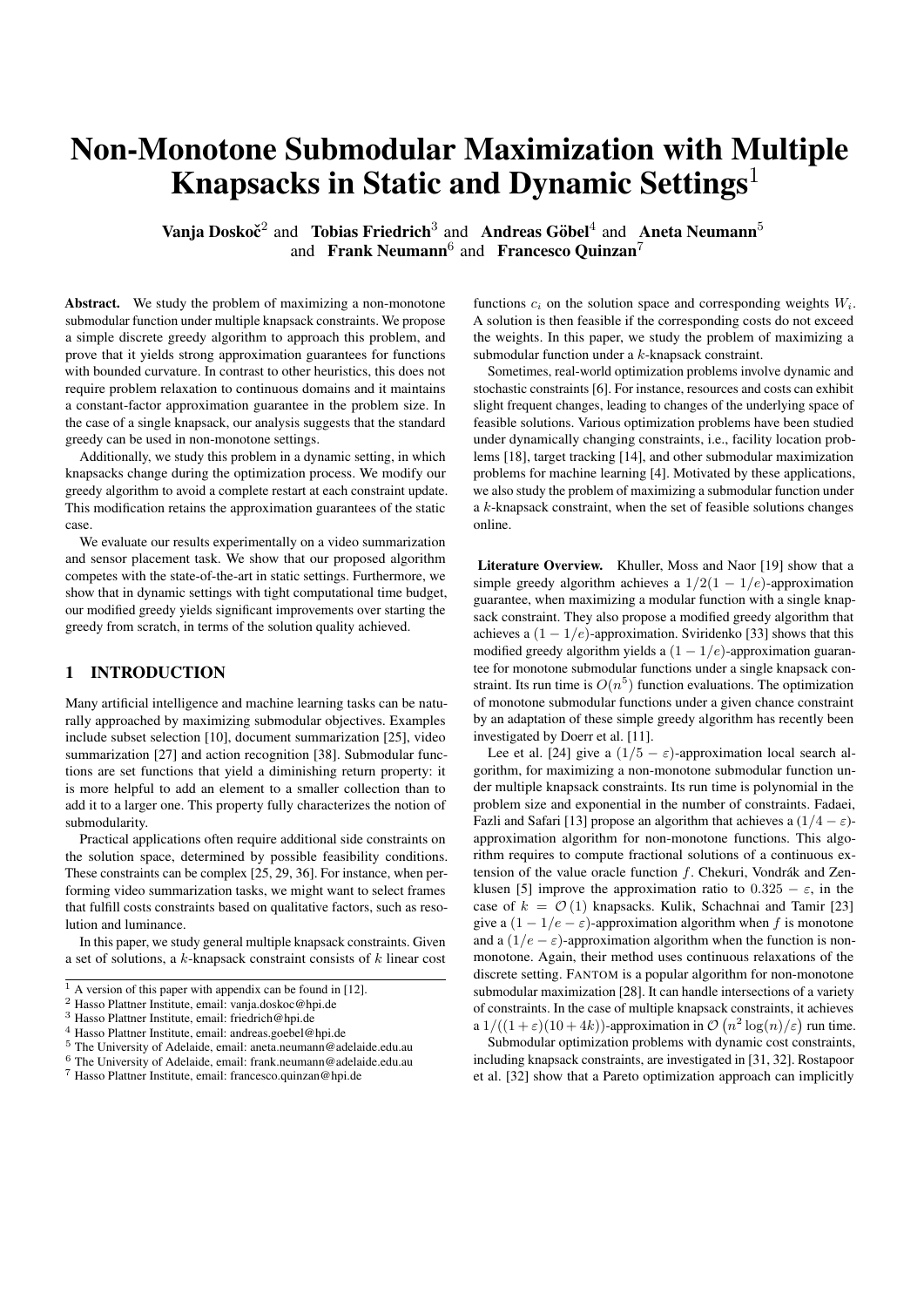<span id="page-5-0"></span>Table 2. For the respective set of experiments, Maximum Entropy Sampling (left) and Video Summarization (right), the mean and standard deviation of the solution quality over time within one run of the respective algorithms for different update frequencies [ ] and different dynamic update standard deviations [ ]. With  $X^{(+)}$  we denote that the algorithm labelled X significantly outperformed the other one.

|                 |          | $\lambda$ -Greedy (1) |       | $\lambda$ -DGREEDY (2) |       |           |
|-----------------|----------|-----------------------|-------|------------------------|-------|-----------|
| $\tau$          | $\sigma$ | mean                  | sd    | mean                   | sd    | stat      |
| 10K             | 0.075    | 107.4085              | 1.35  | 130.5897               | 12.28 | $2^{(+)}$ |
| 20K             | 0.075    | 195.0352              | 2.99  | 213.3886               | 11.15 | $2^{(+)}$ |
| 30K             | 0.075    | 263.8143              | 4.80  | 279.7259               | 11.38 | $2^{(+)}$ |
| 40K             | 0.075    | 319.6090              | 6.78  | 329.8283               | 10.80 | $2^{(+)}$ |
| 50K             | 0.075    | 351.6649              | 8.47  | 353.6060               | 9.19  | $2^{(+)}$ |
| 10K             | 0.05     | 107.6904              | 0.73  | 132.7425               | 8.79  | $2^{(+)}$ |
| 20 <sub>K</sub> | 0.05     | 195.5784              | 1.82  | 216.0143               | 8.00  | $2^{(+)}$ |
| 30K             | 0.05     | 264.6016              | 3.13  | 282.2722               | 7.91  | $2^{(+)}$ |
| 40K             | 0.05     | 320.6179              | 4.66  | 332.0804               | 7.57  | $2^{(+)}$ |
| 50K             | 0.05     | 352.8980              | 6.10  | 355.0595               | 6.64  | $2^{(+)}$ |
| 10K             | 0.10     | 107.2164              | 1.56  | 124.4393               | 14.81 | $2^{(+)}$ |
| 20K             | 0.10     | 194.4608              | 3.43  | 208.3658               | 13.35 | $2^{(+)}$ |
| 30K             | 0.10     | 262.7148              | 5.57  | 274.8722               | 13.64 | $2^{(+)}$ |
| 40K             | 0.10     | 317.9336              | 7.96  | 325.7493               | 12.93 | $2^{(+)}$ |
| 50K             | 0.10     | 349.5698              | 10.04 | 351.1627               | 10.91 | $2^{(+)}$ |

|                 |          | $\lambda$ -Greedy (1) |           | $\lambda$ -DGREEDY (2) |       |                      |  |
|-----------------|----------|-----------------------|-----------|------------------------|-------|----------------------|--|
| $\tau$          | $\sigma$ | mean                  | sd        | mean                   | sd    | stat                 |  |
| 10K             | 0.075    | 36.550                | $2.1E-14$ | 264.256                | 69.21 | $2^{(+)}$            |  |
| 20 <sub>K</sub> | 0.075    | 69.760                | $7.2E-14$ | 269.639                | 57.77 | $2^{(+)}$            |  |
| 30K             | 0.075    | 102.969               | $4.3E-14$ | 271.531                | 53.20 | $2^{(+)}$            |  |
| 40K             | 0.075    | 136.956               | 8.6E-14   | 272.210                | 51.18 | $2^{(+)}$            |  |
| 50K             | 0.075    | 174.657               | 1.30      | 272.968                | 49.38 | $2^{(+)}$            |  |
| 10K             | 0.05     | 36.55                 | $2.1E-14$ | 197.251                | 63.49 | $2^{(+)}$            |  |
| 20 <sub>K</sub> | 0.05     | 69.760                | 7.9E-14   | 257.641                | 52.15 | $2^{(+)}$            |  |
| 30K             | 0.05     | 102.969               | $4.3E-14$ | 259.517                | 47.55 | $2^{(+)}$            |  |
| 40K             | 0.05     | 136.956               | 8.6E-14   | 260.197                | 45.46 | $2^{(+)}$            |  |
| 50K             | 0.05     | 174.840               | 5.7E-14   | 260.955                | 43.64 | $2^{(+)}$            |  |
| 10K             | 0.10     | 36.550                | $2.1E-14$ | 269.784                | 76.62 | $\overline{2^{(+)}}$ |  |
| 20K             | 0.10     | 69.760                | $7.2E-14$ | 275.981                | 65.69 | $2^{(+)}$            |  |
| 30K             | 0.10     | 102.969               | $4.3E-14$ | 277.891                | 61.48 | $2^{(+)}$            |  |
| 40K             | 0.10     | 136.956               | 8.6E-14   | 278.571                | 59.67 | $2^{(+)}$            |  |
| 50K             | 0.10     | 174.448               | 2.77      | 279.329                | 58.05 | $2^{(+)}$            |  |



<span id="page-5-1"></span>Figure 1. The solution quality achieved by the -GREEDY after each constraints' update, using a restart strategy, and the -DGREEDY operator. Each plot shows results for a fixed standard deviation choice  $\lceil \cdot \rceil$  and fixed update frequency = 30K (for the Maximum Entropy Sampling) and = 50K (for Video Summarization).

The Maximum Entropy Sampling Problem We consider the problem of maximizing the entropy  $f$  under a partition matroid constraint. This additional side constraint requires an upper bound on the number of sensors that can be chosen in given geographical areas. Specifically, we partition the total number of time series in seven sets, based on the continent in which the corresponding stations are located. Under this partition set, we then have seven independent cardinality constraints, one for each continent.

We use the Berkeley Earth Surface Temperature Study, which combines 1.6 billion temperature reports from 16 preexisting data archives. This archive contains over 39000 unique stations from around the world. More information on the Berkeley Earth project can be found in [\[2\]](#page-7-34). Here, we consider unique time series defined as the average monthly temperature for each station. Taking into account all data between years 2015-2017, we obtain 2736 time series from the corresponding stations. Our experimental framework follows along the lines of [\[16\]](#page-7-22).

In our dynamic setting, for each continent, a given parameter  $d_i$  is defined as a percentage value of the overall number of stations available on that continent, for all  $i \in [7]$ . We let parameters  $d_1, \ldots, d_7$ vary over time, as to simulate a setting where they are updated dynamically. This situation could occur when operational costs slightly vary overtime. We initially set all parameters to use 50% of the available resources, and we introduce a variation of these parameters at regular intervals, according to  $\mathcal{N}(0, \sigma^2)$ , a Gaussian distribution of mean 0 and variance  $\sigma^2$ , for all  $i \in [7]$ .

We consider various choices for the standard deviation  $\sigma$ , and various choices for the time span between one dynamic update and the next one (the parameter  $\tau$ ). For each choice of  $\sigma$  and  $\tau$ , we consider a total of 50 sequences of changes. We perform statistical validation using the Kruskal-Wallis test with 95% confidence. In order to compare the results, we use the Bonferroni post-hoc statistical procedure. This method is used for multiple comparisons of a control algorithm against two or more other algorithms. We refer the reader to [\[9\]](#page-7-35) for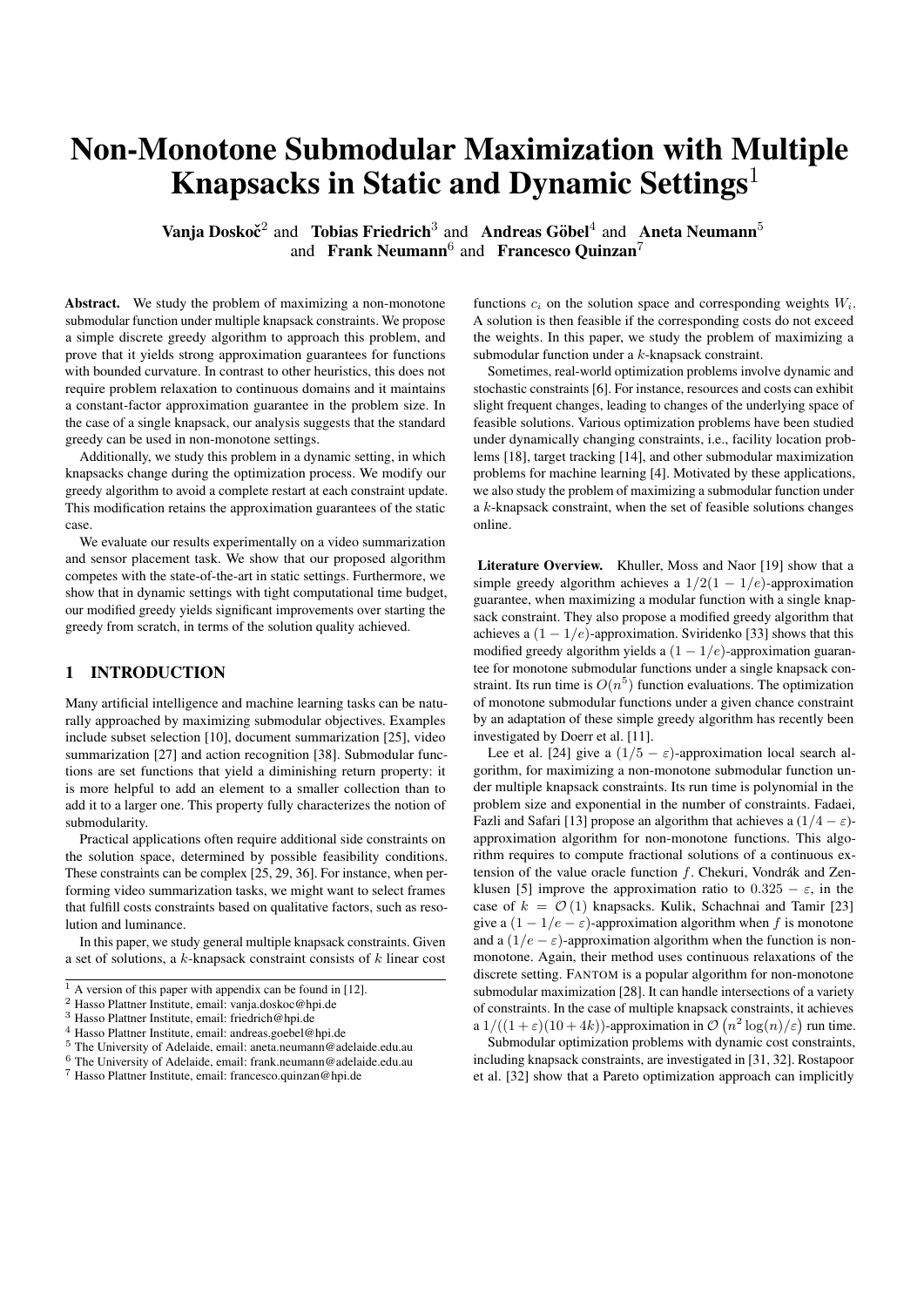more detailed descriptions of these statistical tests.

We compare the results in terms of the solution quality achieved at each dynamic update by the  $\lambda$ -GREEDY and the  $\lambda$ -DGREEDY. We summarize our results in the Table [2](#page-5-0) (left) as follows. The columns correspond to the results for  $\lambda$ -GREEDY and the  $\lambda$ -DGREEDY respectively, along with the mean value, standard deviation, and statistical comparison. The symbol  $X^{(+)}$  is equivalent to the statement that the algorithm labelled as X significantly outperformed the other one.

Table [2](#page-5-0) (left) shows that the  $\lambda$ -DGREEDY has a better performance than the  $\lambda$ -GREEDY algorithm with restarts, when dynamic changes occur, especially for the highest frequencies  $\tau = 10K, 20K$ . This shows that the  $\lambda$ -DGREEDY is suitable in settings when frequent dynamic changes occur. The  $\lambda$ -GREEDY yields improved performance with lower frequencies, but it under-perform the  $\lambda$ -DGREEDY on our dataset.

Figure [1](#page-5-1) (left) shows the solution quality values achieved by the  $\lambda$ -GREEDY and the  $\lambda$ -DGREEDY, for different choices of the standard deviation  $\sigma = 0.075, 0.05, 0.1$ . Again, we observe that the  $\lambda$ -DGREEDY finds solutions that have better quality than the  $\lambda$ -GREEDY with restarts. Even though the  $\lambda$ -DGREEDY in some cases aligns with the  $\lambda$ -GREEDY with restarts, the performance of the  $\lambda$ -DGREEDY is clearly better than that of the simple  $\lambda$ -GREEDY with restarts. The code for this set of experiments is available upon request.

Determinantal Point Processes We conclude with a dynamic set of experiments on a video summarization task as in Section [5.](#page-3-1) We define the corresponding matrix  $L$  using the quality-diversity decomposition, as proposed in [\[21\]](#page-7-36). Specifically, we define the coefficients  $L_{i,j}$  of this matrix as  $L_{i,j} = q(i)k(i,j)q(j)$ , with  $q(i)$  representing the quality of the *i*-th frame and  $k(i, j)$  being the diversity between the  $i$ -th and  $j$ -th frame.

For the diversity measure  $k$ , we consider commonly used features  $f \in F$  for pictures, and we use these features to define corresponding feature vectors  $v_i^f$  for each frame *i*. Then the diversity measure is defined as

$$
k(i,j) = \exp\left(-\sum_{f \supseteq F} \frac{||v_i^f - v_j^f||_2^2}{\sigma_f}\right),\,
$$

with  $\sigma_f$  a parameter for this feature<sup>[11](#page-6-1)</sup>. To learn these parameters we use the Markov Chain Monte Carlo (MCMC) method (see [\[1\]](#page-7-37)).

We use movie clips from the Frames Labeled In Cinema dataset [\[15\]](#page-7-33). We use 16 movies with 150-550 frames each to learn the parameters and one test movie with approximately 400 frames for our experiments. For each movie, we generate 5-10 samples (depending on the total amount of frames) of sets with 10-20 frames as training data. We then use MCMC on the training data to learn the parameters for each movie. When testing the  $\lambda$ -GREEDY and the  $\lambda$ -DGREEDY, we use the sample median of the trained parameters.

In this set of experiments, we consider a constraint by which the set of selected frames must not exceed a memory threshold. We define a cost function  $c(S)$  as the sum of the size of each frame in S. As each frame comes with its own size in memory, choosing the best frames under certain memory budget is equivalent to maximizing a submodular function under a linear knapsack constraint.

The weight W is given range  $[0\%, 100\%]$ , with respect to the total weight  $c(V)$ , and it is updated dynamically throughout the optimization process, according to a Gaussian distribution  $\mathcal{N}(0, \sigma^2)$ , for a

given variance  $\sigma^2$ . This settings simulates a situation by which the overall available memory exhibits small frequent variation.

We select various parameter choices for the standard deviation σ, and the frequency τ with which a dynamic update occurs. We investigate the settings  $\sigma = 0.075, 0.05, 0.1$ , and  $\tau = 10K, 20K, 30K$ , 40K, 50K. Each combination of  $\sigma$  and  $\tau$  carries out 50 dynamic changes. Again, we validate our results using the Kruskal-Wallis test with 95% confidence. To compare the obtained results, we apply the Bonferroni post-hoc statistical test [\[9\]](#page-7-35).

The results are presented in the Table [2](#page-5-0) (right). We observe that the  $\lambda$ -DGREEDY yields better performance than the  $\lambda$ -GREEDY with restarts when dynamic changes occur. Similar findings are obtained when comparing a different standard deviation choice  $\sigma = 0.075$ , 0.05, 0.1. Specifically, for the highest frequency  $\tau = 10K$ , the  $\lambda$ -DGREEDY achieves better results by approximately one order of magnitude.

Figure [1](#page-5-1) (right) shows the solution quality values obtained by the  $\lambda$ -DGREEDY and the  $\lambda$ -GREEDY, as the frequency is set to  $\tau = 50K$ . It can be observed that, for  $\sigma = 0.075, 0.05, 0.1$ , the  $\lambda$ -DGREEDY significantly outperforms the  $\lambda$ -GREEDY with restarts, for almost all 50 updates. The code for this set of experiments is available upon request.

# <span id="page-6-0"></span>8 CONCLUSION

Many real-world optimization problems can be approached as submodular maximization with multiple knapsack constraints (see Problem [3\)](#page-1-4). Previous studies for this problem show that it is possible to approach this problem with a variety of heuristics. These heuristics often involve a local search, and require continuous relaxations of the discrete problem, and they are impractical. We propose a simple discrete greedy algorithm (see Algorithm [1\)](#page-2-1) to approach this problem, that has polynomial run time and yields strong approximation guarantees for functions with bounded curvature (see Definition [2](#page-1-6) and Theorem [5\)](#page-3-3).

Furthermore, we study the problem of maximizing a submodular function, when knapsack constraints involve dynamic components. We study a setting by which the weights  $W_i$  of a given set of knapsack constraints change overtime. To this end, we introduce a robust variation of our  $\lambda$ -GREEDY algorithm that allows for handling dynamic constraints online (see Algorithm [2\)](#page-2-2). We prove that this operator allows to maintain strong approximation guarantees for functions with bounded curvature, when constraints change dynamically (see Theorem [6\)](#page-3-4).

We show that, in static settings, Algorithm [1](#page-2-1) competes with FAN-TOM, which is a popular algorithm for handling these constraints (see Table [1\)](#page-4-1). Furthermore, we show that the  $\lambda$ -DGREEDY is useful in dynamic settings. To this end, we compare the  $\lambda$ -DGREEDY with the  $\lambda$ -GREEDY combined with a restart policy, by which the optimization process starts from scratch at each dynamic update. We observe that the  $\lambda$ -DGREEDY yields significant improvement over a restart in dynamic settings with limited computational time budget (see Figure [1](#page-5-1) and Table [2\)](#page-5-0).

# Acknowledgement

This work has been supported by the Australian Research Council through grant DP160102401 and by the South Australian Government through the Research Consortium "Unlocking Complex Resources through Lean Processing".

<span id="page-6-1"></span><sup>&</sup>lt;sup>11</sup> In our setting we combine the parameters  $C_{\text{OLOR2}} = C_{\text{OLOR3}}$  and  $SIFT256 = SIFT512$ .